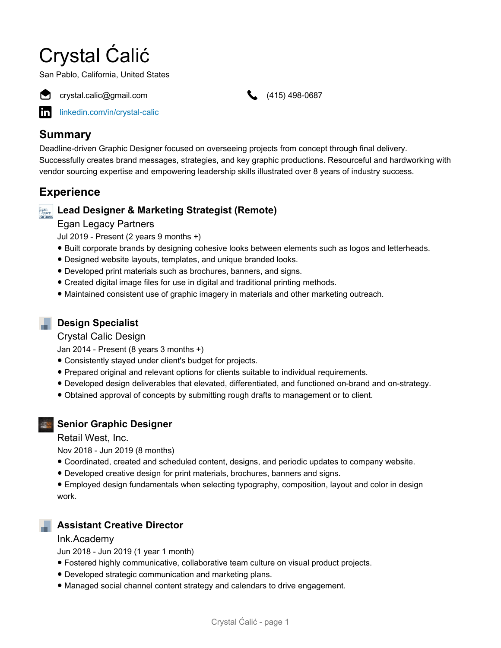# Crystal Ćalić

San Pablo, California, United States



crystal.calic@gmail.com (415) 498-0687

[linkedin.com/in/crystal-calic](https://www.linkedin.com/in/crystal-calic)

# **Summary**

Deadline-driven Graphic Designer focused on overseeing projects from concept through final delivery. Successfully creates brand messages, strategies, and key graphic productions. Resourceful and hardworking with vendor sourcing expertise and empowering leadership skills illustrated over 8 years of industry success.

# **Experience**

# **Lead Designer & Marketing Strategist (Remote)**

## Egan Legacy Partners

Jul 2019 - Present (2 years 9 months +)

- Built corporate brands by designing cohesive looks between elements such as logos and letterheads.
- Designed website layouts, templates, and unique branded looks.
- Developed print materials such as brochures, banners, and signs.
- Created digital image files for use in digital and traditional printing methods.
- Maintained consistent use of graphic imagery in materials and other marketing outreach.

# **Design Specialist**

### Crystal Calic Design

Jan 2014 - Present (8 years 3 months +)

- Consistently stayed under client's budget for projects.
- Prepared original and relevant options for clients suitable to individual requirements.
- Developed design deliverables that elevated, differentiated, and functioned on-brand and on-strategy.
- Obtained approval of concepts by submitting rough drafts to management or to client.



## **Senior Graphic Designer**

Retail West, Inc.

Nov 2018 - Jun 2019 (8 months)

- Coordinated, created and scheduled content, designs, and periodic updates to company website.
- Developed creative design for print materials, brochures, banners and signs.

● Employed design fundamentals when selecting typography, composition, layout and color in design work.

## **Assistant Creative Director**

### Ink.Academy

Jun 2018 - Jun 2019 (1 year 1 month)

- Fostered highly communicative, collaborative team culture on visual product projects.
- Developed strategic communication and marketing plans.
- Managed social channel content strategy and calendars to drive engagement.